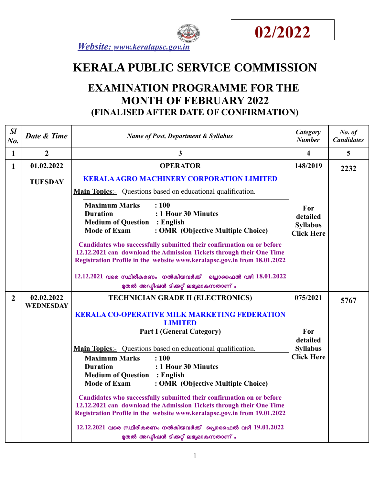



 *Website : www.keralapsc.gov.in*

# **KERALA PUBLIC SERVICE COMMISSION**

## **EXAMINATION PROGRAMME FOR THE MONTH OF FEBRUARY 2022 (FINALISED AFTER DATE OF CONFIRMATION)**

| SI<br>No.      | Date & Time                    | <b>Name of Post, Department &amp; Syllabus</b>                                                                                                                                                                                                                                                                                                                                                                                                                                                                                                                                                                                    | Category<br><b>Number</b>                               | No. of<br><b>Candidates</b> |
|----------------|--------------------------------|-----------------------------------------------------------------------------------------------------------------------------------------------------------------------------------------------------------------------------------------------------------------------------------------------------------------------------------------------------------------------------------------------------------------------------------------------------------------------------------------------------------------------------------------------------------------------------------------------------------------------------------|---------------------------------------------------------|-----------------------------|
| $\mathbf{1}$   | $\boldsymbol{2}$               | 3                                                                                                                                                                                                                                                                                                                                                                                                                                                                                                                                                                                                                                 | $\overline{\mathbf{4}}$                                 | 5                           |
| $\mathbf{1}$   | 01.02.2022                     | <b>OPERATOR</b>                                                                                                                                                                                                                                                                                                                                                                                                                                                                                                                                                                                                                   | 148/2019                                                | 2232                        |
|                | <b>TUESDAY</b>                 | <b>KERALA AGRO MACHINERY CORPORATION LIMITED</b><br><b>Main Topics:-</b> Questions based on educational qualification.<br>: 100<br><b>Maximum Marks</b><br>: 1 Hour 30 Minutes<br><b>Duration</b><br><b>Medium of Question : English</b><br><b>Mode of Exam</b><br>: OMR (Objective Multiple Choice)                                                                                                                                                                                                                                                                                                                              | For<br>detailed<br><b>Syllabus</b><br><b>Click Here</b> |                             |
|                |                                | Candidates who successfully submitted their confirmation on or before<br>12.12.2021 can download the Admission Tickets through their One Time<br>Registration Profile in the website www.keralapsc.gov.in from 18.01.2022<br>$12.12.2021$ വരെ സ്ഥിരീകരണം നൽകിയവർക്ക്<br>പ്രൊഫൈൽ വഴി 18.01.2022<br>മുതൽ അഡ്മിഷൻ ടിക്കറ്റ് ലഭ്യമാകുന്നതാണ് .                                                                                                                                                                                                                                                                                        |                                                         |                             |
| $\overline{2}$ | 02.02.2022<br><b>WEDNESDAY</b> | <b>TECHNICIAN GRADE II (ELECTRONICS)</b><br><b>KERALA CO-OPERATIVE MILK MARKETING FEDERATION</b><br><b>LIMITED</b>                                                                                                                                                                                                                                                                                                                                                                                                                                                                                                                | 075/2021                                                | 5767                        |
|                |                                | <b>Part I (General Category)</b><br><b>Main Topics:-</b> Questions based on educational qualification.<br><b>Maximum Marks</b><br>: 100<br>: 1 Hour 30 Minutes<br><b>Duration</b><br><b>Medium of Question : English</b><br><b>Mode of Exam</b><br>: OMR (Objective Multiple Choice)<br>Candidates who successfully submitted their confirmation on or before<br>12.12.2021 can download the Admission Tickets through their One Time<br>Registration Profile in the website www.keralapsc.gov.in from 19.01.2022<br>$12.12.2021$ വരെ സ്ഥിരീകരണം നൽകിയവർക്ക് പ്രൊഫൈൽ വഴി $19.01.2022$<br>മുതൽ അഡ്മിഷൻ ടിക്കറ്റ് ലഭ്യമാകുന്നതാണ് . | For<br>detailed<br><b>Syllabus</b><br><b>Click Here</b> |                             |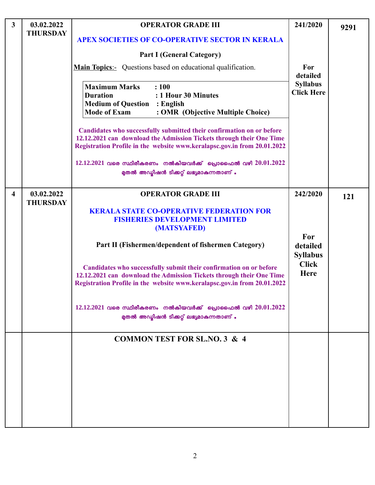| $\mathbf{3}$            | 03.02.2022                    | <b>OPERATOR GRADE III</b>                                                                                                                                                                                                 | 241/2020                             | 9291 |
|-------------------------|-------------------------------|---------------------------------------------------------------------------------------------------------------------------------------------------------------------------------------------------------------------------|--------------------------------------|------|
|                         | <b>THURSDAY</b>               | <b>APEX SOCIETIES OF CO-OPERATIVE SECTOR IN KERALA</b>                                                                                                                                                                    |                                      |      |
|                         |                               | <b>Part I (General Category)</b>                                                                                                                                                                                          |                                      |      |
|                         |                               | <b>Main Topics:</b> Questions based on educational qualification.                                                                                                                                                         | For<br>detailed                      |      |
|                         |                               | <b>Maximum Marks</b><br>: 100<br><b>Duration</b><br>: 1 Hour 30 Minutes<br><b>Medium of Question</b><br>$\therefore$ English<br><b>Mode of Exam</b><br>: OMR (Objective Multiple Choice)                                  | <b>Syllabus</b><br><b>Click Here</b> |      |
|                         |                               | Candidates who successfully submitted their confirmation on or before<br>12.12.2021 can download the Admission Tickets through their One Time<br>Registration Profile in the website www.keralapsc.gov.in from 20.01.2022 |                                      |      |
|                         |                               | $12.12.2021$ വരെ സ്ഥിരീകരണം നൽകിയവർക്ക് പ്രൊഫൈൽ വഴി $20.01.2022$<br>മുതൽ അഡ്യിഷൻ ടിക്കറ്റ് ലഭ്യമാകുന്നതാണ് .                                                                                                              |                                      |      |
| $\overline{\mathbf{4}}$ | 03.02.2022<br><b>THURSDAY</b> | <b>OPERATOR GRADE III</b>                                                                                                                                                                                                 | 242/2020                             | 121  |
|                         |                               | <b>KERALA STATE CO-OPERATIVE FEDERATION FOR</b><br><b>FISHERIES DEVELOPMENT LIMITED</b><br>(MATSYAFED)                                                                                                                    |                                      |      |
|                         |                               | Part II (Fishermen/dependent of fishermen Category)                                                                                                                                                                       | For<br>detailed<br><b>Syllabus</b>   |      |
|                         |                               | Candidates who successfully submit their confirmation on or before<br>12.12.2021 can download the Admission Tickets through their One Time<br>Registration Profile in the website www.keralapsc.gov.in from 20.01.2022    | <b>Click</b><br><b>Here</b>          |      |
|                         |                               | $12.12.2021$ വരെ സ്ഥിരീകരണം നൽകിയവർക്ക് പ്രൊഫൈൽ വഴി $20.01.2022$<br>മുതൽ അഡ്യിഷൻ ടിക്കറ്റ് ലഭ്യമാകുന്നതാണ് .                                                                                                              |                                      |      |
|                         |                               | <b>COMMON TEST FOR SL.NO. 3 &amp; 4</b>                                                                                                                                                                                   |                                      |      |
|                         |                               |                                                                                                                                                                                                                           |                                      |      |
|                         |                               |                                                                                                                                                                                                                           |                                      |      |
|                         |                               |                                                                                                                                                                                                                           |                                      |      |
|                         |                               |                                                                                                                                                                                                                           |                                      |      |
|                         |                               |                                                                                                                                                                                                                           |                                      |      |
|                         |                               |                                                                                                                                                                                                                           |                                      |      |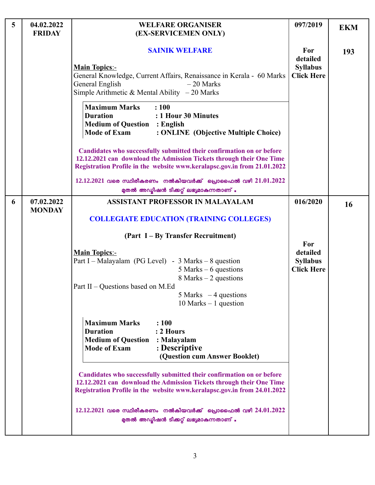| 5 | 04.02.2022<br><b>FRIDAY</b> | <b>WELFARE ORGANISER</b><br>(EX-SERVICEMEN ONLY)                                                                                                                                                                          | 097/2019                                                | <b>EKM</b> |
|---|-----------------------------|---------------------------------------------------------------------------------------------------------------------------------------------------------------------------------------------------------------------------|---------------------------------------------------------|------------|
|   |                             | <b>SAINIK WELFARE</b><br><b>Main Topics:-</b><br>General Knowledge, Current Affairs, Renaissance in Kerala - 60 Marks<br>General English<br>$-20$ Marks<br>Simple Arithmetic & Mental Ability $-20$ Marks                 | For<br>detailed<br><b>Syllabus</b><br><b>Click Here</b> | 193        |
|   |                             | <b>Maximum Marks</b><br>: 100<br><b>Duration</b><br>: 1 Hour 30 Minutes<br><b>Medium of Question : English</b><br><b>Mode of Exam</b><br>: ONLINE (Objective Multiple Choice)                                             |                                                         |            |
|   |                             | Candidates who successfully submitted their confirmation on or before<br>12.12.2021 can download the Admission Tickets through their One Time<br>Registration Profile in the website www.keralapsc.gov.in from 21.01.2022 |                                                         |            |
|   |                             | $12.12.2021$ വരെ സ്ഥിരീകരണം നൽകിയവർക്ക് പ്രൊഫൈൽ വഴി $21.01.2022$<br>മുതൽ അഡ്യിഷൻ ടിക്കറ്റ് ലഭ്യമാകുന്നതാണ് .                                                                                                              |                                                         |            |
| 6 | 07.02.2022<br><b>MONDAY</b> | <b>ASSISTANT PROFESSOR IN MALAYALAM</b><br><b>COLLEGIATE EDUCATION (TRAINING COLLEGES)</b>                                                                                                                                | 016/2020                                                | 16         |
|   |                             | (Part I – By Transfer Recruitment)                                                                                                                                                                                        |                                                         |            |
|   |                             | <b>Main Topics:-</b><br>Part I – Malayalam (PG Level) - $3$ Marks – $8$ question<br>5 Marks $-6$ questions<br>8 Marks $-2$ questions                                                                                      | For<br>detailed<br><b>Syllabus</b><br><b>Click Here</b> |            |
|   |                             | Part II – Questions based on M.Ed<br>$5$ Marks $-4$ questions<br>$10$ Marks $-1$ question                                                                                                                                 |                                                         |            |
|   |                             | <b>Maximum Marks</b><br>: 100<br>: 2 Hours<br><b>Duration</b><br><b>Medium of Question</b><br>: Malayalam<br><b>Mode of Exam</b><br>: Descriptive<br>(Question cum Answer Booklet)                                        |                                                         |            |
|   |                             | Candidates who successfully submitted their confirmation on or before<br>12.12.2021 can download the Admission Tickets through their One Time<br>Registration Profile in the website www.keralapsc.gov.in from 24.01.2022 |                                                         |            |
|   |                             | $12.12.2021$ വരെ സ്ഥിരീകരണം നൽകിയവർക്ക് പ്രൊഫൈൽ വഴി $24.01.2022$<br>മുതൽ അഡ്യിഷൻ ടിക്കറ്റ് ലഭ്യമാകുന്നതാണ് .                                                                                                              |                                                         |            |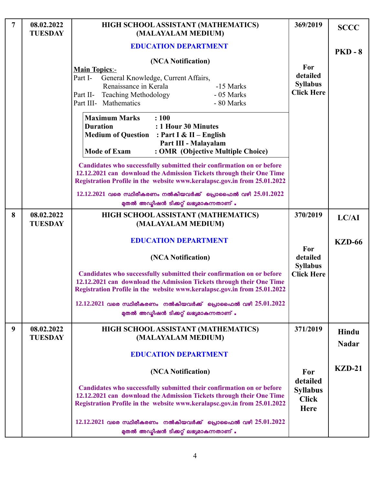| $\overline{7}$ | 08.02.2022<br><b>TUESDAY</b> | HIGH SCHOOL ASSISTANT (MATHEMATICS)<br>(MALAYALAM MEDIUM)                                                                                                                                                                                                                                                                                                                                      | 369/2019                                                   | <b>SCCC</b>           |
|----------------|------------------------------|------------------------------------------------------------------------------------------------------------------------------------------------------------------------------------------------------------------------------------------------------------------------------------------------------------------------------------------------------------------------------------------------|------------------------------------------------------------|-----------------------|
|                |                              | <b>EDUCATION DEPARTMENT</b>                                                                                                                                                                                                                                                                                                                                                                    |                                                            | $PKD - 8$             |
|                |                              | (NCA Notification)<br><b>Main Topics:-</b><br>Part I-<br>General Knowledge, Current Affairs,<br>Renaissance in Kerala<br>-15 Marks<br>- 05 Marks<br><b>Teaching Methodology</b><br>Part II-<br>Part III- Mathematics<br>- 80 Marks<br><b>Maximum Marks</b><br>: 100<br><b>Duration</b><br>: 1 Hour 30 Minutes<br><b>Medium of Question : Part I &amp; II - English</b><br>Part III - Malayalam | For<br>detailed<br><b>Syllabus</b><br><b>Click Here</b>    |                       |
|                |                              | <b>Mode of Exam</b><br>: OMR (Objective Multiple Choice)<br>Candidates who successfully submitted their confirmation on or before<br>12.12.2021 can download the Admission Tickets through their One Time<br>Registration Profile in the website www.keralapsc.gov.in from 25.01.2022                                                                                                          |                                                            |                       |
|                |                              | $12.12.2021$ വരെ സ്ഥിരീകരണം നൽകിയവർക്ക് പ്രൊഫൈൽ വഴി $25.01.2022$<br>മുതൽ അഡ്മിഷൻ ടിക്കറ്റ് ലഭ്യമാകുന്നതാണ് .                                                                                                                                                                                                                                                                                   |                                                            |                       |
| 8              | 08.02.2022<br><b>TUESDAY</b> | HIGH SCHOOL ASSISTANT (MATHEMATICS)<br>(MALAYALAM MEDIUM)                                                                                                                                                                                                                                                                                                                                      | 370/2019                                                   | LC/AI                 |
|                |                              | <b>EDUCATION DEPARTMENT</b><br>(NCA Notification)                                                                                                                                                                                                                                                                                                                                              | For<br>detailed                                            | <b>KZD-66</b>         |
|                |                              | Candidates who successfully submitted their confirmation on or before<br>12.12.2021 can download the Admission Tickets through their One Time<br>Registration Profile in the website www.keralapsc.gov.in from 25.01.2022                                                                                                                                                                      | <b>Syllabus</b><br><b>Click Here</b>                       |                       |
|                |                              | $12.12.2021$ വരെ സ്ഥിരീകരണം നൽകിയവർക്ക് പ്രൊഫൈൽ വഴി $25.01.2022$<br>മുതൽ അഡ്യിഷൻ ടിക്കറ്റ് ലഭ്യമാകുന്നതാണ് .                                                                                                                                                                                                                                                                                   |                                                            |                       |
| 9              | 08.02.2022<br><b>TUESDAY</b> | HIGH SCHOOL ASSISTANT (MATHEMATICS)<br>(MALAYALAM MEDIUM)<br><b>EDUCATION DEPARTMENT</b>                                                                                                                                                                                                                                                                                                       | 371/2019                                                   | Hindu<br><b>Nadar</b> |
|                |                              | (NCA Notification)                                                                                                                                                                                                                                                                                                                                                                             | For                                                        | $KZD-21$              |
|                |                              | Candidates who successfully submitted their confirmation on or before<br>12.12.2021 can download the Admission Tickets through their One Time<br>Registration Profile in the website www.keralapsc.gov.in from 25.01.2022                                                                                                                                                                      | detailed<br><b>Syllabus</b><br><b>Click</b><br><b>Here</b> |                       |
|                |                              | $12.12.2021$ വരെ സ്ഥിരീകരണം നൽകിയവർക്ക് പ്രൊഫൈൽ വഴി $25.01.2022$<br>മുതൽ അഡ്യിഷൻ ടിക്കറ്റ് ലഭ്യമാകുന്നതാണ് .                                                                                                                                                                                                                                                                                   |                                                            |                       |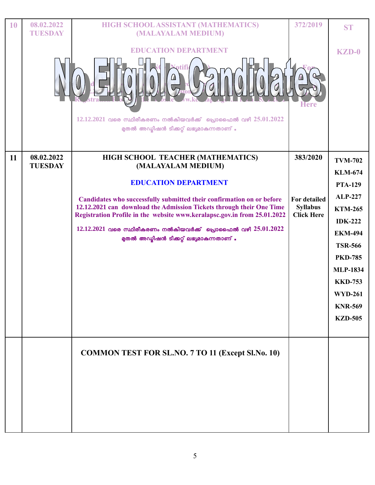| 10 | 08.02.2022<br><b>TUESDAY</b> | HIGH SCHOOL ASSISTANT (MATHEMATICS)<br>(MALAYALAM MEDIUM)                                                                                                                                                                                                                                                                                                                                                                           | 372/2019                                                                | <b>ST</b>                                                                                                                                                                                                                                                 |
|----|------------------------------|-------------------------------------------------------------------------------------------------------------------------------------------------------------------------------------------------------------------------------------------------------------------------------------------------------------------------------------------------------------------------------------------------------------------------------------|-------------------------------------------------------------------------|-----------------------------------------------------------------------------------------------------------------------------------------------------------------------------------------------------------------------------------------------------------|
|    |                              | <b>EDUCATION DEPARTMENT</b><br>$12.12.2021$ വരെ സ്ഥിരീകരണം നൽകിയവർക്ക് പ്രൊഫൈൽ വഴി $25.01.2022$<br>മുതൽ അഡ്മിഷൻ ടിക്കറ്റ് ലഭ്യമാകുന്നതാണ് .                                                                                                                                                                                                                                                                                         | <b>Here</b>                                                             | <b>KZD-0</b>                                                                                                                                                                                                                                              |
| 11 | 08.02.2022<br><b>TUESDAY</b> | HIGH SCHOOL TEACHER (MATHEMATICS)<br>(MALAYALAM MEDIUM)<br><b>EDUCATION DEPARTMENT</b><br>Candidates who successfully submitted their confirmation on or before<br>12.12.2021 can download the Admission Tickets through their One Time<br>Registration Profile in the website www.keralapsc.gov.in from 25.01.2022<br>$12.12.2021$ വരെ സ്ഥിരീകരണം നൽകിയവർക്ക് പ്രൊഫൈൽ വഴി $25.01.2022$<br>മുതൽ അഡ്മിഷൻ ടിക്കറ്റ് ലഭ്യമാകുന്നതാണ് . | 383/2020<br><b>For detailed</b><br><b>Syllabus</b><br><b>Click Here</b> | <b>TVM-702</b><br><b>KLM-674</b><br><b>PTA-129</b><br><b>ALP-227</b><br><b>KTM-265</b><br><b>IDK-222</b><br><b>EKM-494</b><br><b>TSR-566</b><br><b>PKD-785</b><br><b>MLP-1834</b><br><b>KKD-753</b><br><b>WYD-261</b><br><b>KNR-569</b><br><b>KZD-505</b> |
|    |                              | <b>COMMON TEST FOR SL.NO. 7 TO 11 (Except Sl.No. 10)</b>                                                                                                                                                                                                                                                                                                                                                                            |                                                                         |                                                                                                                                                                                                                                                           |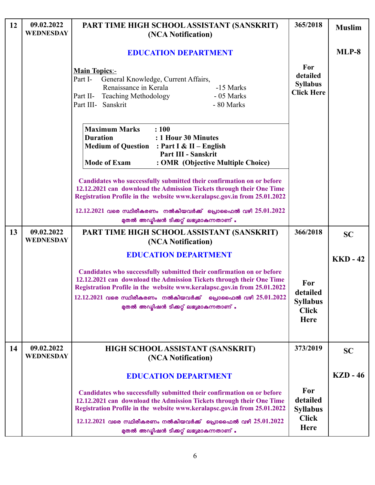| 12 | 09.02.2022<br><b>WEDNESDAY</b> | PART TIME HIGH SCHOOL ASSISTANT (SANSKRIT)<br>(NCA Notification)                                                                                                                                                                                                                                                                          | 365/2018                                                          | <b>Muslim</b>   |
|----|--------------------------------|-------------------------------------------------------------------------------------------------------------------------------------------------------------------------------------------------------------------------------------------------------------------------------------------------------------------------------------------|-------------------------------------------------------------------|-----------------|
|    |                                | <b>EDUCATION DEPARTMENT</b>                                                                                                                                                                                                                                                                                                               |                                                                   | MLP-8           |
|    |                                | <b>Main Topics:-</b><br>General Knowledge, Current Affairs,<br>Part I-<br>Renaissance in Kerala<br>-15 Marks<br>Part II- Teaching Methodology<br>- 05 Marks<br>Part III- Sanskrit<br>- 80 Marks                                                                                                                                           | For<br>detailed<br><b>Syllabus</b><br><b>Click Here</b>           |                 |
|    |                                | <b>Maximum Marks</b><br>: 100<br><b>Duration</b><br>: 1 Hour 30 Minutes<br>Medium of Question : Part I & II - English<br>Part III - Sanskrit<br><b>Mode of Exam</b><br>: OMR (Objective Multiple Choice)                                                                                                                                  |                                                                   |                 |
|    |                                | Candidates who successfully submitted their confirmation on or before<br>12.12.2021 can download the Admission Tickets through their One Time<br>Registration Profile in the website www.keralapsc.gov.in from 25.01.2022                                                                                                                 |                                                                   |                 |
|    |                                | $12.12.2021$ വരെ സ്ഥിരീകരണം നൽകിയവർക്ക് പ്രൊഫൈൽ വഴി $25.01.2022$<br>മുതൽ അഡ്മിഷൻ ടിക്കറ്റ് ലഭ്യമാകുന്നതാണ് .                                                                                                                                                                                                                              |                                                                   |                 |
| 13 | 09.02.2022<br><b>WEDNESDAY</b> | PART TIME HIGH SCHOOL ASSISTANT (SANSKRIT)<br>(NCA Notification)                                                                                                                                                                                                                                                                          | 366/2018                                                          | <b>SC</b>       |
|    |                                | <b>EDUCATION DEPARTMENT</b>                                                                                                                                                                                                                                                                                                               |                                                                   | <b>KKD - 42</b> |
|    |                                | Candidates who successfully submitted their confirmation on or before<br>12.12.2021 can download the Admission Tickets through their One Time<br>Registration Profile in the website www.keralapsc.gov.in from 25.01.2022<br>$12.12.2021$ വരെ സ്ഥിരീകരണം നൽകിയവർക്ക് പ്രൊഫൈൽ വഴി $25.01.2022$<br>മുതൽ അഡ്യിഷൻ ടിക്കറ്റ് ലഭ്യമാകുന്നതാണ് . | For<br>detailed<br><b>Syllabus</b><br><b>Click</b><br><b>Here</b> |                 |
| 14 | 09.02.2022<br><b>WEDNESDAY</b> | HIGH SCHOOL ASSISTANT (SANSKRIT)<br>(NCA Notification)                                                                                                                                                                                                                                                                                    | 373/2019                                                          | <b>SC</b>       |
|    |                                | <b>EDUCATION DEPARTMENT</b>                                                                                                                                                                                                                                                                                                               |                                                                   | <b>KZD</b> - 46 |
|    |                                | Candidates who successfully submitted their confirmation on or before<br>12.12.2021 can download the Admission Tickets through their One Time<br>Registration Profile in the website www.keralapsc.gov.in from 25.01.2022<br>$12.12.2021$ വരെ സ്ഥിരീകരണം നൽകിയവർക്ക് പ്രൊഫൈൽ വഴി $25.01.2022$<br>മുതൽ അഡ്യിഷൻ ടിക്കറ്റ് ലഭ്യമാകുന്നതാണ് . | For<br>detailed<br><b>Syllabus</b><br><b>Click</b><br><b>Here</b> |                 |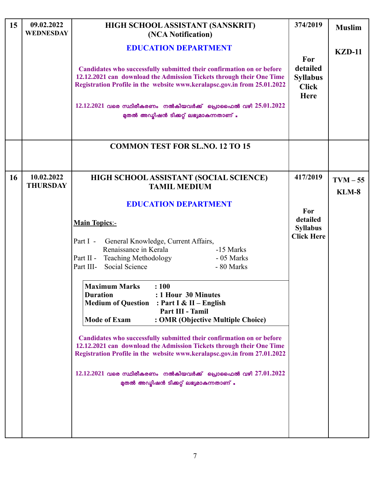| 15 | 09.02.2022<br><b>WEDNESDAY</b> | HIGH SCHOOL ASSISTANT (SANSKRIT)<br>(NCA Notification)                                                                                                                                                                                                                                                                                                                                                                                                                                                                                                                                                                                                                                                                                                                                                              | 374/2019                                                   | <b>Muslim</b> |
|----|--------------------------------|---------------------------------------------------------------------------------------------------------------------------------------------------------------------------------------------------------------------------------------------------------------------------------------------------------------------------------------------------------------------------------------------------------------------------------------------------------------------------------------------------------------------------------------------------------------------------------------------------------------------------------------------------------------------------------------------------------------------------------------------------------------------------------------------------------------------|------------------------------------------------------------|---------------|
|    |                                | <b>EDUCATION DEPARTMENT</b><br>Candidates who successfully submitted their confirmation on or before<br>12.12.2021 can download the Admission Tickets through their One Time<br>Registration Profile in the website www.keralapsc.gov.in from 25.01.2022<br>$12.12.2021$ വരെ സ്ഥിരീകരണം നൽകിയവർക്ക് പ്രൊഫൈൽ വഴി $25.01.2022$<br>മുതൽ അഡ്യിഷൻ ടിക്കറ്റ് ലഭ്യമാകുന്നതാണ് .                                                                                                                                                                                                                                                                                                                                                                                                                                            | For<br>detailed<br><b>Syllabus</b><br><b>Click</b><br>Here | <b>KZD-11</b> |
|    |                                | <b>COMMON TEST FOR SL.NO. 12 TO 15</b>                                                                                                                                                                                                                                                                                                                                                                                                                                                                                                                                                                                                                                                                                                                                                                              |                                                            |               |
| 16 | 10.02.2022<br><b>THURSDAY</b>  | HIGH SCHOOL ASSISTANT (SOCIAL SCIENCE)<br><b>TAMIL MEDIUM</b>                                                                                                                                                                                                                                                                                                                                                                                                                                                                                                                                                                                                                                                                                                                                                       | 417/2019                                                   | $TVM - 55$    |
|    |                                | <b>EDUCATION DEPARTMENT</b><br><b>Main Topics:-</b><br>General Knowledge, Current Affairs,<br>Part I -<br>Renaissance in Kerala<br>-15 Marks<br><b>Teaching Methodology</b><br>Part II -<br>- 05 Marks<br>Part III-<br>Social Science<br>- 80 Marks<br><b>Maximum Marks</b><br>: 100<br><b>Duration</b><br>: 1 Hour 30 Minutes<br><b>Medium of Question</b><br>: Part I & II – English<br>Part III - Tamil<br><b>Mode of Exam</b><br>: OMR (Objective Multiple Choice)<br>Candidates who successfully submitted their confirmation on or before<br>12.12.2021 can download the Admission Tickets through their One Time<br>Registration Profile in the website www.keralapsc.gov.in from 27.01.2022<br>$12.12.2021$ വരെ സ്ഥിരീകരണം നൽകിയവർക്ക് പ്രൊഫൈൽ വഴി $27.01.2022$<br>മുതൽ അഡ്യിഷൻ ടിക്കറ്റ് ലഭ്യമാകുന്നതാണ് . | For<br>detailed<br><b>Syllabus</b><br><b>Click Here</b>    | <b>KLM-8</b>  |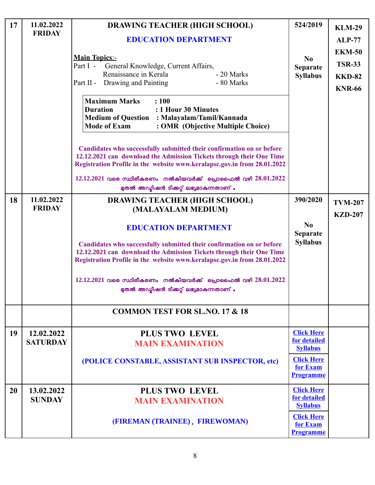| 17 | 11.02.2022<br><b>FRIDAY</b>   | <b>DRAWING TEACHER (HIGH SCHOOL)</b><br><b>EDUCATION DEPARTMENT</b><br><b>Main Topics:-</b><br>Part I -<br>General Knowledge, Current Affairs,<br>Renaissance in Kerala<br>- 20 Marks<br>Drawing and Painting<br>- 80 Marks<br>Part II -<br><b>Maximum Marks</b><br>: 100<br>: 1 Hour 30 Minutes<br><b>Duration</b><br><b>Medium of Question : Malayalam/Tamil/Kannada</b><br><b>Mode of Exam</b><br>: OMR (Objective Multiple Choice)<br>Candidates who successfully submitted their confirmation on or before<br>12.12.2021 can download the Admission Tickets through their One Time | 524/2019<br>N <sub>0</sub><br><b>Separate</b><br><b>Syllabus</b>                                          | <b>KLM-29</b><br><b>ALP-77</b><br><b>EKM-50</b><br><b>TSR-33</b><br><b>KKD-82</b><br><b>KNR-66</b> |
|----|-------------------------------|-----------------------------------------------------------------------------------------------------------------------------------------------------------------------------------------------------------------------------------------------------------------------------------------------------------------------------------------------------------------------------------------------------------------------------------------------------------------------------------------------------------------------------------------------------------------------------------------|-----------------------------------------------------------------------------------------------------------|----------------------------------------------------------------------------------------------------|
|    |                               | Registration Profile in the website www.keralapsc.gov.in from 28.01.2022<br>$12.12.2021$ വരെ സ്ഥിരീകരണം നൽകിയവർക്ക് പ്രൊഫൈൽ വഴി $28.01.2022$<br>മുതൽ അഡ്മിഷൻ ടിക്കറ്റ് ലഭ്യമാകുന്നതാണ് .                                                                                                                                                                                                                                                                                                                                                                                                |                                                                                                           |                                                                                                    |
| 18 | 11.02.2022<br><b>FRIDAY</b>   | <b>DRAWING TEACHER (HIGH SCHOOL)</b><br>(MALAYALAM MEDIUM)<br><b>EDUCATION DEPARTMENT</b><br>Candidates who successfully submitted their confirmation on or before<br>12.12.2021 can download the Admission Tickets through their One Time<br>Registration Profile in the website www.keralapsc.gov.in from 28.01.2022<br>$12.12.2021$ വരെ സ്ഥിരീകരണം നൽകിയവർക്ക് പ്രൊഫൈൽ വഴി $28.01.2022$<br>മുതൽ അഡ്മിഷൻ ടിക്കറ്റ് ലഭ്യമാകുന്നതാണ് .                                                                                                                                                  | 390/2020<br>N <sub>0</sub><br><b>Separate</b><br><b>Syllabus</b>                                          | <b>TVM-207</b><br><b>KZD-207</b>                                                                   |
|    |                               | <b>COMMON TEST FOR SL.NO. 17 &amp; 18</b>                                                                                                                                                                                                                                                                                                                                                                                                                                                                                                                                               |                                                                                                           |                                                                                                    |
| 19 | 12.02.2022<br><b>SATURDAY</b> | <b>PLUS TWO LEVEL</b><br><b>MAIN EXAMINATION</b><br>(POLICE CONSTABLE, ASSISTANT SUB INSPECTOR, etc)                                                                                                                                                                                                                                                                                                                                                                                                                                                                                    | <b>Click Here</b><br>for detailed<br><b>Syllabus</b><br><b>Click Here</b><br>for Exam<br><b>Programme</b> |                                                                                                    |
| 20 | 13.02.2022<br><b>SUNDAY</b>   | <b>PLUS TWO LEVEL</b><br><b>MAIN EXAMINATION</b><br>(FIREMAN (TRAINEE), FIREWOMAN)                                                                                                                                                                                                                                                                                                                                                                                                                                                                                                      | <b>Click Here</b><br>for detailed<br><b>Syllabus</b><br><b>Click Here</b><br>for Exam<br><b>Programme</b> |                                                                                                    |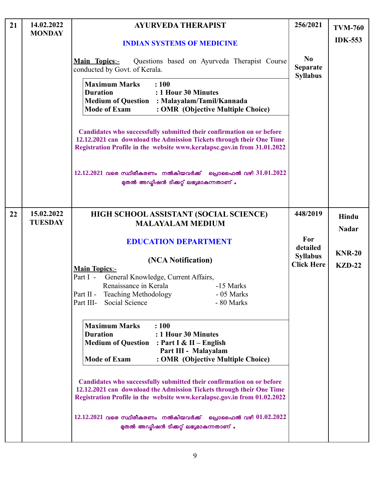| 21 | 14.02.2022                   | <b>AYURVEDA THERAPIST</b>                                                                                                                                                                                                                                                                                                                                         | 256/2021                                             | <b>TVM-760</b> |
|----|------------------------------|-------------------------------------------------------------------------------------------------------------------------------------------------------------------------------------------------------------------------------------------------------------------------------------------------------------------------------------------------------------------|------------------------------------------------------|----------------|
|    | <b>MONDAY</b>                | <b>INDIAN SYSTEMS OF MEDICINE</b>                                                                                                                                                                                                                                                                                                                                 |                                                      | <b>IDK-553</b> |
|    |                              | <b>Main Topics:-</b><br>Questions based on Ayurveda Therapist Course<br>conducted by Govt. of Kerala.                                                                                                                                                                                                                                                             | N <sub>0</sub><br><b>Separate</b><br><b>Syllabus</b> |                |
|    |                              | <b>Maximum Marks</b><br>: 100<br>: 1 Hour 30 Minutes<br><b>Duration</b><br><b>Medium of Question : Malayalam/Tamil/Kannada</b><br><b>Mode of Exam</b><br>: OMR (Objective Multiple Choice)                                                                                                                                                                        |                                                      |                |
|    |                              | Candidates who successfully submitted their confirmation on or before<br>12.12.2021 can download the Admission Tickets through their One Time<br>Registration Profile in the website www.keralapsc.gov.in from 31.01.2022                                                                                                                                         |                                                      |                |
|    |                              | $12.12.2021$ വരെ സ്ഥിരീകരണം നൽകിയവർക്ക് പ്രൊഫൈൽ വഴി $31.01.2022$<br>മുതൽ അഡ്യിഷൻ ടിക്കറ്റ് ലഭ്യമാകുന്നതാണ് .                                                                                                                                                                                                                                                      |                                                      |                |
| 22 | 15.02.2022<br><b>TUESDAY</b> | HIGH SCHOOL ASSISTANT (SOCIAL SCIENCE)<br><b>MALAYALAM MEDIUM</b>                                                                                                                                                                                                                                                                                                 | 448/2019                                             | Hindu          |
|    |                              |                                                                                                                                                                                                                                                                                                                                                                   |                                                      | <b>Nadar</b>   |
|    |                              | <b>EDUCATION DEPARTMENT</b>                                                                                                                                                                                                                                                                                                                                       | For<br>detailed                                      |                |
|    |                              | (NCA Notification)                                                                                                                                                                                                                                                                                                                                                | <b>Syllabus</b>                                      | <b>KNR-20</b>  |
|    |                              | <b>Main Topics:-</b>                                                                                                                                                                                                                                                                                                                                              | <b>Click Here</b>                                    | <b>KZD-22</b>  |
|    |                              | Part I -<br>General Knowledge, Current Affairs,                                                                                                                                                                                                                                                                                                                   |                                                      |                |
|    |                              | Renaissance in Kerala<br>-15 Marks<br>Part II - Teaching Methodology<br>- 05 Marks                                                                                                                                                                                                                                                                                |                                                      |                |
|    |                              | Part III- Social Science<br>- 80 Marks                                                                                                                                                                                                                                                                                                                            |                                                      |                |
|    |                              |                                                                                                                                                                                                                                                                                                                                                                   |                                                      |                |
|    |                              | <b>Maximum Marks</b><br>: 100<br><b>Duration</b><br>: 1 Hour 30 Minutes<br><b>Medium of Question</b> : Part I & II – English<br>Part III - Malayalam<br><b>Mode of Exam</b><br>: OMR (Objective Multiple Choice)<br>Candidates who successfully submitted their confirmation on or before<br>12.12.2021 can download the Admission Tickets through their One Time |                                                      |                |
|    |                              | Registration Profile in the website www.keralapsc.gov.in from 01.02.2022<br>$12.12.2021$ വരെ സ്ഥിരീകരണം നൽകിയവർക്ക് പ്രൊഫൈൽ വഴി $01.02.2022$                                                                                                                                                                                                                      |                                                      |                |
|    |                              | മുതൽ അഡ്യിഷൻ ടിക്കറ്റ് ലഭ്യമാകുന്നതാണ് .                                                                                                                                                                                                                                                                                                                          |                                                      |                |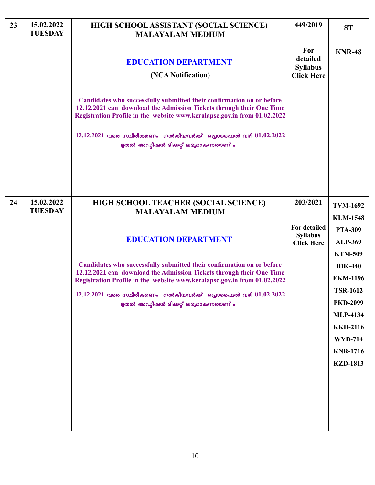| 23 | 15.02.2022<br><b>TUESDAY</b> | HIGH SCHOOL ASSISTANT (SOCIAL SCIENCE)<br><b>MALAYALAM MEDIUM</b>                                                                                                                                                                                                                                                                         | 449/2019                                                | <b>ST</b>                          |
|----|------------------------------|-------------------------------------------------------------------------------------------------------------------------------------------------------------------------------------------------------------------------------------------------------------------------------------------------------------------------------------------|---------------------------------------------------------|------------------------------------|
|    |                              | <b>EDUCATION DEPARTMENT</b><br>(NCA Notification)                                                                                                                                                                                                                                                                                         | For<br>detailed<br><b>Syllabus</b><br><b>Click Here</b> | <b>KNR-48</b>                      |
|    |                              | Candidates who successfully submitted their confirmation on or before<br>12.12.2021 can download the Admission Tickets through their One Time<br>Registration Profile in the website www.keralapsc.gov.in from 01.02.2022<br>$12.12.2021$ വരെ സ്ഥിരീകരണം നൽകിയവർക്ക് പ്രൊഫൈൽ വഴി $01.02.2022$<br>മുതൽ അഡ്മിഷൻ ടിക്കറ്റ് ലഭ്യമാകുന്നതാണ് . |                                                         |                                    |
|    |                              |                                                                                                                                                                                                                                                                                                                                           |                                                         |                                    |
| 24 | 15.02.2022<br><b>TUESDAY</b> | HIGH SCHOOL TEACHER (SOCIAL SCIENCE)<br><b>MALAYALAM MEDIUM</b>                                                                                                                                                                                                                                                                           | 203/2021                                                | <b>TVM-1692</b>                    |
|    |                              |                                                                                                                                                                                                                                                                                                                                           |                                                         | <b>KLM-1548</b>                    |
|    |                              |                                                                                                                                                                                                                                                                                                                                           | <b>For detailed</b><br><b>Syllabus</b>                  | <b>PTA-309</b>                     |
|    |                              | <b>EDUCATION DEPARTMENT</b>                                                                                                                                                                                                                                                                                                               | <b>Click Here</b>                                       | <b>ALP-369</b>                     |
|    |                              |                                                                                                                                                                                                                                                                                                                                           |                                                         | <b>KTM-509</b>                     |
|    |                              | Candidates who successfully submitted their confirmation on or before<br>12.12.2021 can download the Admission Tickets through their One Time                                                                                                                                                                                             |                                                         | <b>IDK-440</b>                     |
|    |                              | Registration Profile in the website www.keralapsc.gov.in from 01.02.2022                                                                                                                                                                                                                                                                  |                                                         | <b>EKM-1196</b>                    |
|    |                              | $12.12.2021$ വരെ സ്ഥിരീകരണം നൽകിയവർക്ക് പ്രൊഫൈൽ വഴി $01.02.2022$                                                                                                                                                                                                                                                                          |                                                         | <b>TSR-1612</b><br><b>PKD-2099</b> |
|    |                              | മുതൽ അഡ്യിഷൻ ടിക്കറ്റ് ലഭ്യമാകുന്നതാണ് .                                                                                                                                                                                                                                                                                                  |                                                         | <b>MLP-4134</b>                    |
|    |                              |                                                                                                                                                                                                                                                                                                                                           |                                                         | <b>KKD-2116</b>                    |
|    |                              |                                                                                                                                                                                                                                                                                                                                           |                                                         | <b>WYD-714</b>                     |
|    |                              |                                                                                                                                                                                                                                                                                                                                           |                                                         | <b>KNR-1716</b>                    |
|    |                              |                                                                                                                                                                                                                                                                                                                                           |                                                         | <b>KZD-1813</b>                    |
|    |                              |                                                                                                                                                                                                                                                                                                                                           |                                                         |                                    |
|    |                              |                                                                                                                                                                                                                                                                                                                                           |                                                         |                                    |
|    |                              |                                                                                                                                                                                                                                                                                                                                           |                                                         |                                    |
|    |                              |                                                                                                                                                                                                                                                                                                                                           |                                                         |                                    |
|    |                              |                                                                                                                                                                                                                                                                                                                                           |                                                         |                                    |

 $\overline{\phantom{a}}$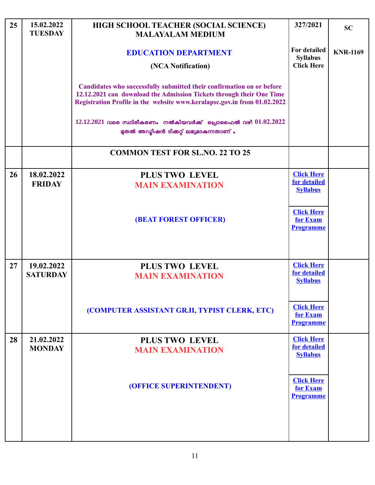| 25 | 15.02.2022<br><b>TUESDAY</b> | HIGH SCHOOL TEACHER (SOCIAL SCIENCE)<br><b>MALAYALAM MEDIUM</b>                                                                                                                                                           | 327/2021                                             | <b>SC</b>       |
|----|------------------------------|---------------------------------------------------------------------------------------------------------------------------------------------------------------------------------------------------------------------------|------------------------------------------------------|-----------------|
|    |                              | <b>EDUCATION DEPARTMENT</b>                                                                                                                                                                                               | For detailed<br><b>Syllabus</b>                      | <b>KNR-1169</b> |
|    |                              | (NCA Notification)                                                                                                                                                                                                        | <b>Click Here</b>                                    |                 |
|    |                              | Candidates who successfully submitted their confirmation on or before<br>12.12.2021 can download the Admission Tickets through their One Time<br>Registration Profile in the website www.keralapsc.gov.in from 01.02.2022 |                                                      |                 |
|    |                              | $12.12.2021$ വരെ സ്ഥിരീകരണം നൽകിയവർക്ക് പ്രൊഫൈൽ വഴി $01.02.2022$<br>മുതൽ അഡ്മിഷൻ ടിക്കറ്റ് ലഭ്യമാകുന്നതാണ് .                                                                                                              |                                                      |                 |
|    |                              | <b>COMMON TEST FOR SL.NO. 22 TO 25</b>                                                                                                                                                                                    |                                                      |                 |
| 26 | 18.02.2022<br><b>FRIDAY</b>  | <b>PLUS TWO LEVEL</b><br><b>MAIN EXAMINATION</b>                                                                                                                                                                          | <b>Click Here</b><br>for detailed<br><b>Syllabus</b> |                 |
|    |                              | <b>(BEAT FOREST OFFICER)</b>                                                                                                                                                                                              | <b>Click Here</b><br>for Exam<br><b>Programme</b>    |                 |
| 27 | 19.02.2022                   | PLUS TWO LEVEL                                                                                                                                                                                                            | <b>Click Here</b>                                    |                 |
|    | <b>SATURDAY</b>              | <b>MAIN EXAMINATION</b>                                                                                                                                                                                                   | for detailed<br><b>Syllabus</b>                      |                 |
|    |                              | (COMPUTER ASSISTANT GR.II, TYPIST CLERK, ETC)                                                                                                                                                                             | <b>Click Here</b><br>for Exam<br><b>Programme</b>    |                 |
| 28 | 21.02.2022<br><b>MONDAY</b>  | <b>PLUS TWO LEVEL</b><br><b>MAIN EXAMINATION</b>                                                                                                                                                                          | <b>Click Here</b><br>for detailed                    |                 |
|    |                              |                                                                                                                                                                                                                           | <b>Syllabus</b>                                      |                 |
|    |                              | (OFFICE SUPERINTENDENT)                                                                                                                                                                                                   | <b>Click Here</b><br>for Exam<br><b>Programme</b>    |                 |
|    |                              |                                                                                                                                                                                                                           |                                                      |                 |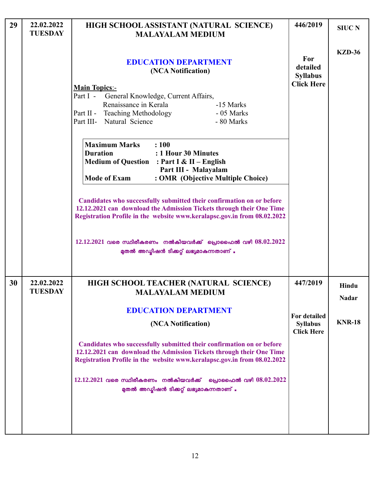| 29 | 22.02.2022<br><b>TUESDAY</b> | HIGH SCHOOL ASSISTANT (NATURAL SCIENCE)<br><b>MALAYALAM MEDIUM</b>                                                                                                                                                                                            | 446/2019                                                    | <b>SIUC N</b>         |
|----|------------------------------|---------------------------------------------------------------------------------------------------------------------------------------------------------------------------------------------------------------------------------------------------------------|-------------------------------------------------------------|-----------------------|
|    |                              | <b>EDUCATION DEPARTMENT</b><br>(NCA Notification)<br><b>Main Topics:-</b><br>Part I -<br>General Knowledge, Current Affairs,<br>Renaissance in Kerala<br>-15 Marks<br>Part II - Teaching Methodology<br>- 05 Marks<br>Part III- Natural Science<br>- 80 Marks | For<br>detailed<br><b>Syllabus</b><br><b>Click Here</b>     | <b>KZD-36</b>         |
|    |                              | <b>Maximum Marks</b><br>: 100<br><b>Duration</b><br>: 1 Hour 30 Minutes<br><b>Medium of Question : Part I &amp; II - English</b><br>Part III - Malayalam<br><b>Mode of Exam</b><br>: OMR (Objective Multiple Choice)                                          |                                                             |                       |
|    |                              | Candidates who successfully submitted their confirmation on or before<br>12.12.2021 can download the Admission Tickets through their One Time<br>Registration Profile in the website www.keralapsc.gov.in from 08.02.2022                                     |                                                             |                       |
|    |                              | $12.12.2021$ വരെ സ്ഥിരീകരണം നൽകിയവർക്ക് പ്രൊഫൈൽ വഴി $08.02.2022$<br>മുതൽ അഡ്മിഷൻ ടിക്കറ്റ് ലഭ്യമാകുന്നതാണ് .                                                                                                                                                  |                                                             |                       |
| 30 | 22.02.2022<br><b>TUESDAY</b> | HIGH SCHOOL TEACHER (NATURAL SCIENCE)<br><b>MALAYALAM MEDIUM</b>                                                                                                                                                                                              | 447/2019                                                    | Hindu<br><b>Nadar</b> |
|    |                              | <b>EDUCATION DEPARTMENT</b><br>(NCA Notification)                                                                                                                                                                                                             | <b>For detailed</b><br><b>Syllabus</b><br><b>Click Here</b> | <b>KNR-18</b>         |
|    |                              | Candidates who successfully submitted their confirmation on or before<br>12.12.2021 can download the Admission Tickets through their One Time<br>Registration Profile in the website www.keralapsc.gov.in from 08.02.2022                                     |                                                             |                       |
|    |                              | $12.12.2021$ വരെ സ്ഥിരീകരണം നൽകിയവർക്ക് പ്രൊഫൈൽ വഴി $08.02.2022$<br>മുതൽ അഡ്യിഷൻ ടിക്കറ്റ് ലഭ്യമാകുന്നതാണ് .                                                                                                                                                  |                                                             |                       |
|    |                              |                                                                                                                                                                                                                                                               |                                                             |                       |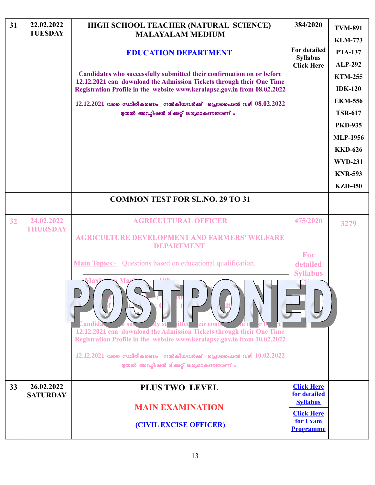| 31 | 22.02.2022<br><b>TUESDAY</b>  | HIGH SCHOOL TEACHER (NATURAL SCIENCE)<br><b>MALAYALAM MEDIUM</b>                                                                                                       | 384/2020                             | <b>TVM-891</b><br><b>KLM-773</b>  |
|----|-------------------------------|------------------------------------------------------------------------------------------------------------------------------------------------------------------------|--------------------------------------|-----------------------------------|
|    |                               | <b>EDUCATION DEPARTMENT</b>                                                                                                                                            | <b>For detailed</b>                  | <b>PTA-137</b>                    |
|    |                               |                                                                                                                                                                        | <b>Syllabus</b><br><b>Click Here</b> | <b>ALP-292</b>                    |
|    |                               | Candidates who successfully submitted their confirmation on or before<br>12.12.2021 can download the Admission Tickets through their One Time                          |                                      | <b>KTM-255</b>                    |
|    |                               | Registration Profile in the website www.keralapsc.gov.in from 08.02.2022                                                                                               |                                      | <b>IDK-120</b>                    |
|    |                               | $12.12.2021$ വരെ സ്ഥിരീകരണം നൽകിയവർക്ക് പ്രൊഫൈൽ വഴി $08.02.2022$                                                                                                       |                                      | <b>EKM-556</b>                    |
|    |                               | മുതൽ അഡ്മിഷൻ ടിക്കറ്റ് ലഭ്യമാകുന്നതാണ് .                                                                                                                               |                                      | <b>TSR-617</b>                    |
|    |                               |                                                                                                                                                                        |                                      | <b>PKD-935</b><br><b>MLP-1956</b> |
|    |                               |                                                                                                                                                                        |                                      | <b>KKD-626</b>                    |
|    |                               |                                                                                                                                                                        |                                      | <b>WYD-231</b>                    |
|    |                               |                                                                                                                                                                        |                                      | <b>KNR-593</b>                    |
|    |                               |                                                                                                                                                                        |                                      | <b>KZD-450</b>                    |
|    |                               | <b>COMMON TEST FOR SL.NO. 29 TO 31</b>                                                                                                                                 |                                      |                                   |
|    |                               |                                                                                                                                                                        |                                      |                                   |
| 32 | 24.02.2022<br><b>THURSDAY</b> | <b>AGRICULTURAL OFFICER</b>                                                                                                                                            | 475/2020                             | 3279                              |
|    |                               | <b>AGRICULTURE DEVELOPMENT AND FARMERS' WELFARE</b><br>DEPARTMENT                                                                                                      |                                      |                                   |
|    |                               | <b>Main Topics:-</b> Questions based on educational qualification.                                                                                                     | For<br>detailed<br><b>Syllabus</b>   |                                   |
|    |                               | andıd:<br>eir cont<br>12.12.2021 can download the Admission Tickets through their One Time<br>Registration Profile in the website www.keralapsc.gov.in from 10.02.2022 |                                      |                                   |
|    |                               | $12.12.2021$ വരെ സ്ഥിരീകരണം നൽകിയവർക്ക് പ്രൊഫൈൽ വഴി $10.02.2022$<br>മുതൽ അഡ്മിഷൻ ടിക്കറ്റ് ലഭ്യമാകുന്നതാണ് .                                                           |                                      |                                   |
| 33 | 26.02.2022                    | <b>PLUS TWO LEVEL</b>                                                                                                                                                  | <b>Click Here</b><br>for detailed    |                                   |
|    | <b>SATURDAY</b>               | <b>MAIN EXAMINATION</b>                                                                                                                                                | <b>Syllabus</b>                      |                                   |
|    |                               |                                                                                                                                                                        | <b>Click Here</b><br>for Exam        |                                   |
|    |                               | (CIVIL EXCISE OFFICER)                                                                                                                                                 | <b>Programme</b>                     |                                   |